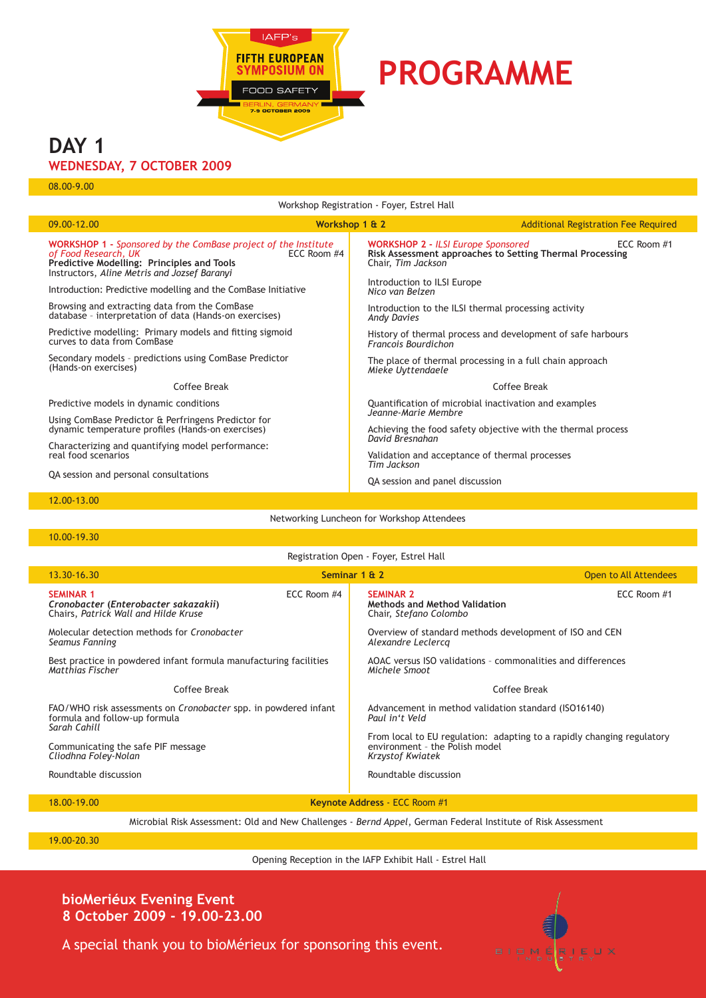

# **PROGRAMME**

# **DAY 1**

## **Wednesday, 7 October 2009**

08.00-9.00

| Workshop Registration - Foyer, Estrel Hall                                                                                                                                                  |                |                                                                                                                             |                                             |
|---------------------------------------------------------------------------------------------------------------------------------------------------------------------------------------------|----------------|-----------------------------------------------------------------------------------------------------------------------------|---------------------------------------------|
| 09.00-12.00                                                                                                                                                                                 | Workshop 1 & 2 |                                                                                                                             | <b>Additional Registration Fee Required</b> |
| <b>WORKSHOP 1 - Sponsored by the ComBase project of the Institute</b><br>of Food Research, UK<br>Predictive Modelling: Principles and Tools<br>Instructors, Aline Metris and Jozsef Baranyi | ECC Room #4    | <b>WORKSHOP 2 - ILSI Europe Sponsored</b><br>Risk Assessment approaches to Setting Thermal Processing<br>Chair, Tim Jackson | ECC Room #1                                 |
| Introduction: Predictive modelling and the Combase Initiative                                                                                                                               |                | Introduction to ILSI Europe<br>Nico van Belzen                                                                              |                                             |
| Browsing and extracting data from the ComBase<br>database - interpretation of data (Hands-on exercises)                                                                                     |                | Introduction to the ILSI thermal processing activity<br><b>Andy Davies</b>                                                  |                                             |
| Predictive modelling: Primary models and fitting sigmoid<br>curves to data from ComBase                                                                                                     |                | History of thermal process and development of safe harbours<br><b>Francois Bourdichon</b>                                   |                                             |
| Secondary models - predictions using ComBase Predictor<br>(Hands-on exercises)                                                                                                              |                | The place of thermal processing in a full chain approach<br>Mieke Uyttendaele                                               |                                             |
| Coffee Break                                                                                                                                                                                |                | Coffee Break                                                                                                                |                                             |
| Predictive models in dynamic conditions                                                                                                                                                     |                | Quantification of microbial inactivation and examples                                                                       |                                             |
| Using ComBase Predictor & Perfringens Predictor for<br>dynamic temperature profiles (Hands-on exercises)                                                                                    |                | Jeanne-Marie Membre<br>Achieving the food safety objective with the thermal process                                         |                                             |
| Characterizing and quantifying model performance:<br>real food scenarios                                                                                                                    |                | David Bresnahan<br>Validation and acceptance of thermal processes<br>Tim Jackson                                            |                                             |
| QA session and personal consultations                                                                                                                                                       |                | QA session and panel discussion                                                                                             |                                             |
| 12.00-13.00                                                                                                                                                                                 |                |                                                                                                                             |                                             |

Networking Luncheon for Workshop Attendees

#### 10.00-19.30

I

Registration Open - Foyer, Estrel Hall

| 13.30-16.30                                                                                                      |             | Seminar 1 & 2                                                                                                                | Open to All Attendees |
|------------------------------------------------------------------------------------------------------------------|-------------|------------------------------------------------------------------------------------------------------------------------------|-----------------------|
| <b>SEMINAR 1</b><br>Cronobacter (Enterobacter sakazakii)<br>Chairs, Patrick Wall and Hilde Kruse                 | ECC Room #4 | <b>SEMINAR 2</b><br>Methods and Method Validation<br>Chair, Stefano Colombo                                                  | ECC Room #1           |
| Molecular detection methods for Cronobacter<br>Seamus Fanning                                                    |             | Overview of standard methods development of ISO and CEN<br>Alexandre Leclerca                                                |                       |
| Best practice in powdered infant formula manufacturing facilities<br>Matthias Fischer                            |             | AOAC versus ISO validations - commonalities and differences<br>Michele Smoot                                                 |                       |
| Coffee Break                                                                                                     |             | Coffee Break                                                                                                                 |                       |
| FAO/WHO risk assessments on Cronobacter spp. in powdered infant<br>formula and follow-up formula<br>Sarah Cahill |             | Advancement in method validation standard (ISO16140)<br>Paul in't Veld                                                       |                       |
| Communicating the safe PIF message<br>Cliodhna Foley-Nolan                                                       |             | From local to EU regulation: adapting to a rapidly changing regulatory<br>environment - the Polish model<br>Krzystof Kwiatek |                       |
| Roundtable discussion                                                                                            |             | Roundtable discussion                                                                                                        |                       |
| 18.00-19.00                                                                                                      |             | Keynote Address - ECC Room #1                                                                                                |                       |

Microbial Risk Assessment: Old and New Challenges - *Bernd Appel*, German Federal Institute of Risk Assessment

19.00-20.30

Opening Reception in the IAFP Exhibit Hall - Estrel Hall

**bioMeriéux Evening Event 8 October 2009 - 19.00-23.00**



A special thank you to bioMérieux for sponsoring this event.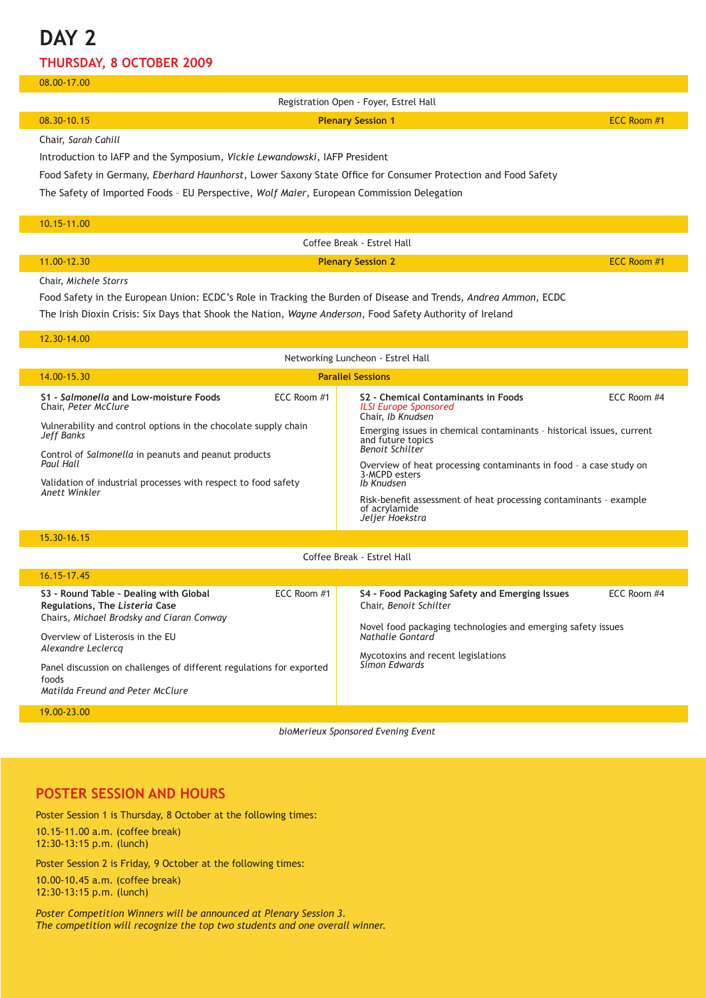# **DAY 2**

### **Thursday, 8 October 2009**

#### 08.00-17.00

| Registration Open - Foyer, Estrel Hall                                                                                |                          |             |  |  |
|-----------------------------------------------------------------------------------------------------------------------|--------------------------|-------------|--|--|
| 08.30-10.15                                                                                                           | <b>Plenary Session 1</b> | ECC Room #1 |  |  |
| Chair, Sarah Cahill                                                                                                   |                          |             |  |  |
| Introduction to IAFP and the Symposium, Vickie Lewandowski, IAFP President                                            |                          |             |  |  |
| Food Safety in Germany, <i>Eberhard Haunhorst</i> , Lower Saxony State Office for Consumer Protection and Food Safety |                          |             |  |  |
| The Safety of Imported Foods - EU Perspective, Wolf Maier, European Commission Delegation                             |                          |             |  |  |
|                                                                                                                       |                          |             |  |  |
| 10.15-11.00                                                                                                           |                          |             |  |  |
| Coffee Break - Estrel Hall                                                                                            |                          |             |  |  |
| 11.00-12.30                                                                                                           | <b>Plenary Session 2</b> | ECC Room #1 |  |  |
| Chair, Michele Storrs                                                                                                 |                          |             |  |  |

Food Safety in the European Union: ECDC's Role in Tracking the Burden of Disease and Trends*, Andrea Ammon,* ECDC The Irish Dioxin Crisis: Six Days that Shook the Nation, *Wayne Anderson*, Food Safety Authority of Ireland

#### 12.30-14.00

| Networking Luncheon - Estrel Hall                                                    |                 |                                                                                                                                                                                                            |                 |
|--------------------------------------------------------------------------------------|-----------------|------------------------------------------------------------------------------------------------------------------------------------------------------------------------------------------------------------|-----------------|
| 14.00-15.30                                                                          |                 | <b>Parallel Sessions</b>                                                                                                                                                                                   |                 |
| S1 - Salmonella and Low-moisture Foods<br>Chair, Peter McClure                       | $FCC$ Room $#1$ | S <sub>2</sub> - Chemical Contaminants in Foods<br><b>ILSI Europe Sponsored</b><br>Chair, Ib Knudsen                                                                                                       | $FCC$ Room $#4$ |
| Vulnerability and control options in the chocolate supply chain<br><b>Jeff Banks</b> |                 | Emerging issues in chemical contaminants - historical issues, current<br>and future topics<br><b>Benoit Schilter</b>                                                                                       |                 |
| Control of Salmonella in peanuts and peanut products<br>Paul Hall                    |                 | Overview of heat processing contaminants in food - a case study on<br>3-MCPD esters<br>Ib Knudsen<br>Risk-benefit assessment of heat processing contaminants - example<br>of acrylamide<br>Jelier Hoekstra |                 |
| Validation of industrial processes with respect to food safety<br>Anett Winkler      |                 |                                                                                                                                                                                                            |                 |

15.30-16.15

Coffee Break - Estrel Hall

| $16.15 - 17.45$                                                                                                                                                                                                                                                                                      |             |                                                                                                                                                                                                                     |             |
|------------------------------------------------------------------------------------------------------------------------------------------------------------------------------------------------------------------------------------------------------------------------------------------------------|-------------|---------------------------------------------------------------------------------------------------------------------------------------------------------------------------------------------------------------------|-------------|
| S3 - Round Table - Dealing with Global<br>Regulations, The Listeria Case<br>Chairs, Michael Brodsky and Ciaran Conway<br>Overview of Listerosis in the EU<br>Alexandre Leclercq<br>Panel discussion on challenges of different regulations for exported<br>foods<br>Matilda Freund and Peter McClure | ECC Room #1 | S4 - Food Packaging Safety and Emerging Issues<br>Chair, Benoit Schilter<br>Novel food packaging technologies and emerging safety issues<br>Nathalie Gontard<br>Mycotoxins and recent legislations<br>Simon Fdwards | ECC Room #4 |
| 19.00-23.00                                                                                                                                                                                                                                                                                          |             |                                                                                                                                                                                                                     |             |

*bioMerieux Sponsored Evening Event*

### **POSTER SESSION AND HOURS**

Poster Session 1 is Thursday, 8 October at the following times: 10.15-11.00 a.m. (coffee break) 12:30-13:15 p.m. (lunch)

Poster Session 2 is Friday, 9 October at the following times:

10.00-10.45 a.m. (coffee break) 12:30-13:15 p.m. (lunch)

*Poster Competition Winners will be announced at Plenary Session 3. The competition will recognize the top two students and one overall winner.*